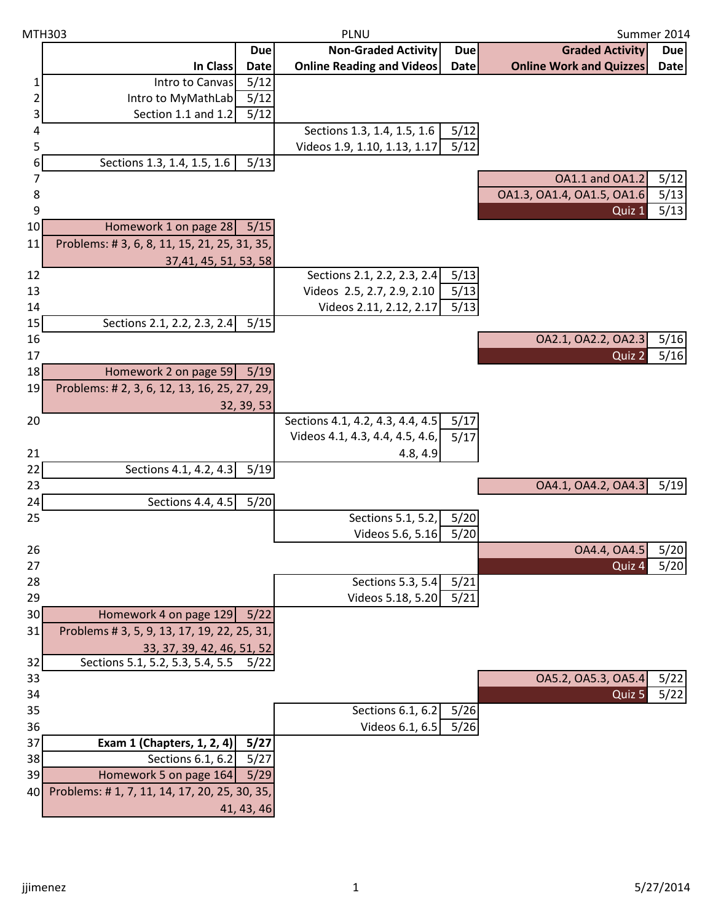| MTH303   |                                              |             | PLNU                             |             | Summer 2014                    |                |  |
|----------|----------------------------------------------|-------------|----------------------------------|-------------|--------------------------------|----------------|--|
|          |                                              | <b>Due</b>  | <b>Non-Graded Activity</b>       | <b>Due</b>  | <b>Graded Activity</b>         | <b>Due</b>     |  |
|          | In Class                                     | <b>Date</b> | <b>Online Reading and Videos</b> | <b>Date</b> | <b>Online Work and Quizzes</b> | Date           |  |
| 1        | Intro to Canvas                              | 5/12        |                                  |             |                                |                |  |
| 2        | Intro to MyMathLab                           | 5/12        |                                  |             |                                |                |  |
| 3        | Section 1.1 and 1.2                          | 5/12        |                                  |             |                                |                |  |
| 4        |                                              |             | Sections 1.3, 1.4, 1.5, 1.6      | 5/12        |                                |                |  |
| 5        |                                              |             | Videos 1.9, 1.10, 1.13, 1.17     | 5/12        |                                |                |  |
| 6        | Sections 1.3, 1.4, 1.5, 1.6                  | 5/13        |                                  |             |                                |                |  |
| 7        |                                              |             |                                  |             | OA1.1 and OA1.2                | 5/12           |  |
| 8        |                                              |             |                                  |             | 0A1.3, 0A1.4, 0A1.5, 0A1.6     | 5/13           |  |
| 9        |                                              |             |                                  |             | Quiz 1                         | $5/13$         |  |
| 10       | Homework 1 on page 28                        | 5/15        |                                  |             |                                |                |  |
| 11       | Problems: #3, 6, 8, 11, 15, 21, 25, 31, 35,  |             |                                  |             |                                |                |  |
|          | 37,41, 45, 51, 53, 58                        |             |                                  |             |                                |                |  |
| 12       |                                              |             | Sections 2.1, 2.2, 2.3, 2.4      | 5/13        |                                |                |  |
| 13       |                                              |             | Videos 2.5, 2.7, 2.9, 2.10       | 5/13        |                                |                |  |
| 14<br>15 |                                              |             | Videos 2.11, 2.12, 2.17          | 5/13        |                                |                |  |
|          | Sections 2.1, 2.2, 2.3, 2.4                  | 5/15        |                                  |             |                                |                |  |
| 16<br>17 |                                              |             |                                  |             | OA2.1, OA2.2, OA2.3<br>Quiz 2  | 5/16<br>$5/16$ |  |
| 18       | Homework 2 on page 59                        | 5/19        |                                  |             |                                |                |  |
| 19       | Problems: # 2, 3, 6, 12, 13, 16, 25, 27, 29, |             |                                  |             |                                |                |  |
|          |                                              |             |                                  |             |                                |                |  |
| 20       |                                              | 32, 39, 53  | Sections 4.1, 4.2, 4.3, 4.4, 4.5 | 5/17        |                                |                |  |
|          |                                              |             | Videos 4.1, 4.3, 4.4, 4.5, 4.6,  | 5/17        |                                |                |  |
| 21       |                                              |             | 4.8, 4.9                         |             |                                |                |  |
| 22       | Sections 4.1, 4.2, 4.3                       | 5/19        |                                  |             |                                |                |  |
| 23       |                                              |             |                                  |             | OA4.1, OA4.2, OA4.3            | 5/19           |  |
| 24       | Sections 4.4, 4.5                            | $5/20$      |                                  |             |                                |                |  |
| 25       |                                              |             | Sections 5.1, 5.2,               | 5/20        |                                |                |  |
|          |                                              |             | Videos 5.6, 5.16                 | 5/20        |                                |                |  |
| 26       |                                              |             |                                  |             | OA4.4, OA4.5                   | $5/20$         |  |
| 27       |                                              |             |                                  |             | Quiz 4                         | 5/20           |  |
| 28       |                                              |             | Sections 5.3, 5.4                | 5/21        |                                |                |  |
| 29       |                                              |             | Videos 5.18, 5.20                | 5/21        |                                |                |  |
| 30       | Homework 4 on page 129                       | 5/22        |                                  |             |                                |                |  |
| 31       | Problems # 3, 5, 9, 13, 17, 19, 22, 25, 31,  |             |                                  |             |                                |                |  |
|          | 33, 37, 39, 42, 46, 51, 52                   |             |                                  |             |                                |                |  |
| 32       | Sections 5.1, 5.2, 5.3, 5.4, 5.5             | 5/22        |                                  |             |                                |                |  |
| 33       |                                              |             |                                  |             | OA5.2, OA5.3, OA5.4            | 5/22           |  |
| 34       |                                              |             |                                  |             | Quiz 5                         | 5/22           |  |
| 35       |                                              |             | Sections 6.1, 6.2                | 5/26        |                                |                |  |
| 36       |                                              |             | Videos 6.1, 6.5                  | 5/26        |                                |                |  |
| 37       | Exam 1 (Chapters, 1, 2, 4)                   | 5/27        |                                  |             |                                |                |  |
| 38       | Sections 6.1, 6.2                            | 5/27        |                                  |             |                                |                |  |
| 39       | Homework 5 on page 164                       | 5/29        |                                  |             |                                |                |  |
| 40       | Problems: #1, 7, 11, 14, 17, 20, 25, 30, 35, |             |                                  |             |                                |                |  |
|          |                                              | 41, 43, 46  |                                  |             |                                |                |  |